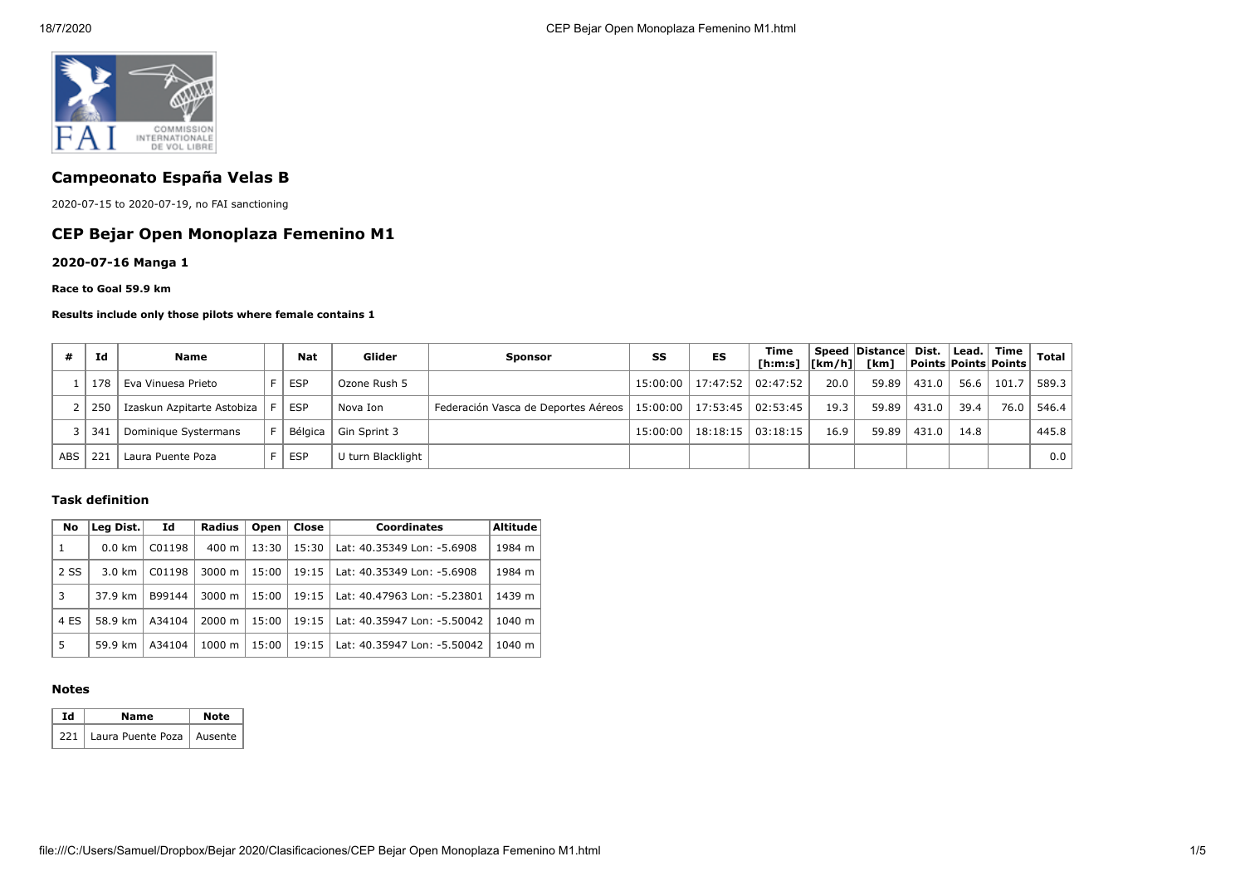

# **Campeonato España Velas B**

2020-07-15 to 2020-07-19, no FAI sanctioning

## **CEP Bejar Open Monoplaza Femenino M1**

**2020-07-16 Manga 1**

#### **Race to Goal 59.9 km**

#### **Results include only those pilots where female contains 1**

|     | Ιd  | Name                       | <b>Nat</b> | Glider                 | <b>Sponsor</b>                                                       | SS | ES                                   | Time<br>[h:m:s]  [km/h]  [km] |      | Speed Distance Dist. |       |      | Lead. Time<br>  Points   Points   Points | Total |
|-----|-----|----------------------------|------------|------------------------|----------------------------------------------------------------------|----|--------------------------------------|-------------------------------|------|----------------------|-------|------|------------------------------------------|-------|
|     | 178 | Eva Vinuesa Prieto         | <b>ESP</b> | Ozone Rush 5           |                                                                      |    | 15:00:00   17:47:52   02:47:52       |                               | 20.0 | 59.89                | 431.0 | 56.6 | 101.7                                    | 589.3 |
|     | 250 | Izaskun Azpitarte Astobiza | F I ESP    | Nova Ion               | Federación Vasca de Deportes Aéreos   15:00:00   17:53:45   02:53:45 |    |                                      |                               | 19.3 | 59.89                | 431.0 | 39.4 | 76.0                                     | 546.4 |
|     | 341 | Dominique Systermans       |            | Bélgica   Gin Sprint 3 |                                                                      |    | $15:00:00$   $18:18:15$   $03:18:15$ |                               | 16.9 | 59.89                | 431.0 | 14.8 |                                          | 445.8 |
| ABS | 221 | Laura Puente Poza          | <b>ESP</b> | U turn Blacklight      |                                                                      |    |                                      |                               |      |                      |       |      |                                          | 0.0   |

### **Task definition**

| No   | Leg Dist.        | Id     | Radius             | Open  | Close | <b>Coordinates</b>          | <b>Altitude</b> |
|------|------------------|--------|--------------------|-------|-------|-----------------------------|-----------------|
| 1    | $0.0 \text{ km}$ | C01198 | 400 m              | 13:30 | 15:30 | Lat: 40.35349 Lon: -5.6908  | 1984 m          |
| 2 SS | $3.0 \text{ km}$ | C01198 | 3000 m             | 15:00 | 19:15 | Lat: 40.35349 Lon: -5.6908  | 1984 m          |
| 3    | 37.9 km          | B99144 | 3000 m             | 15:00 | 19:15 | Lat: 40.47963 Lon: -5.23801 | 1439 m          |
| 4 ES | 58.9 km          | A34104 | $2000 \; \text{m}$ | 15:00 | 19:15 | Lat: 40.35947 Lon: -5.50042 | 1040 m          |
| 5    | 59.9 km          | A34104 | $1000 \;{\rm m}$   | 15:00 | 19:15 | Lat: 40.35947 Lon: -5.50042 | 1040 m          |

### **Notes**

| Ιd | Name                              | <b>Note</b> |  |  |
|----|-----------------------------------|-------------|--|--|
|    | 221   Laura Puente Poza   Ausente |             |  |  |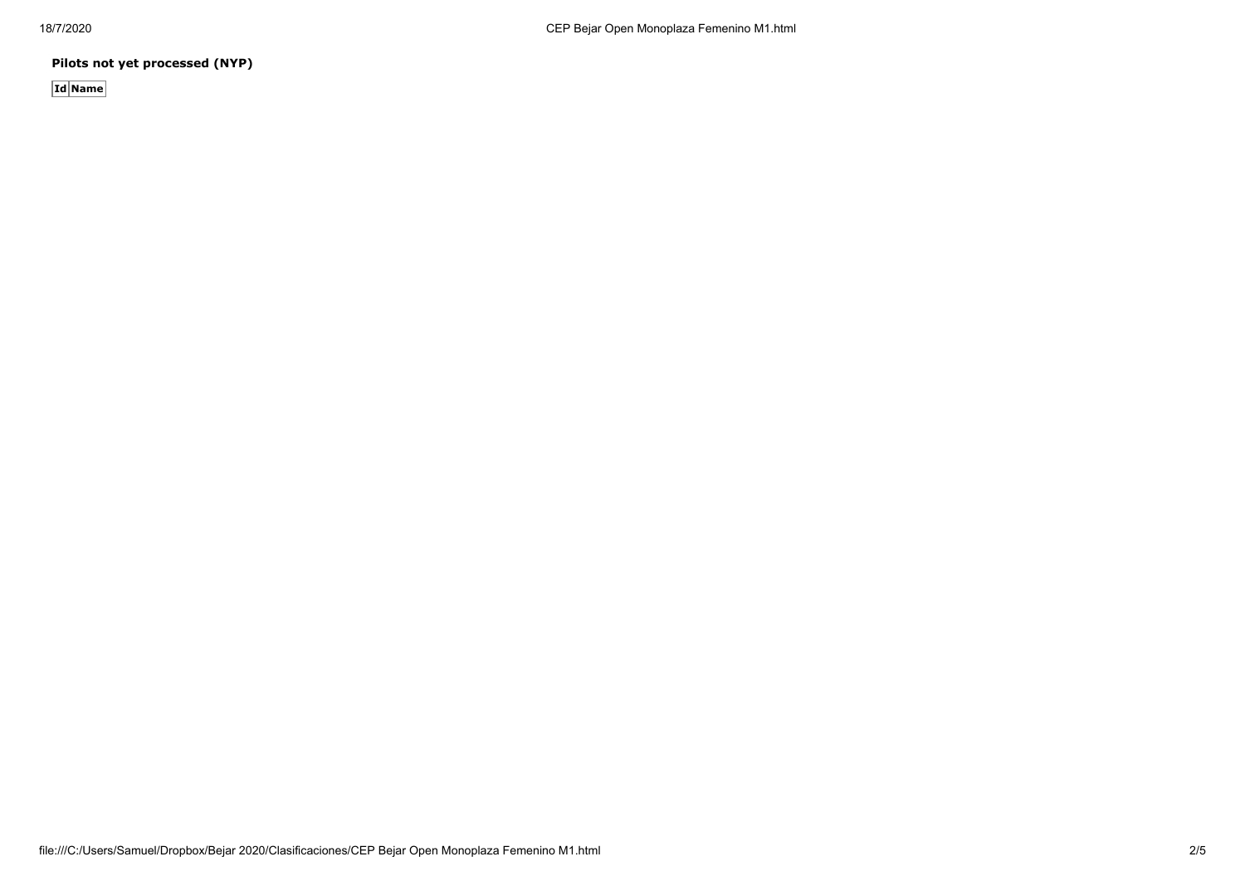**Pilots not yet processed (NYP)**

**Id Name**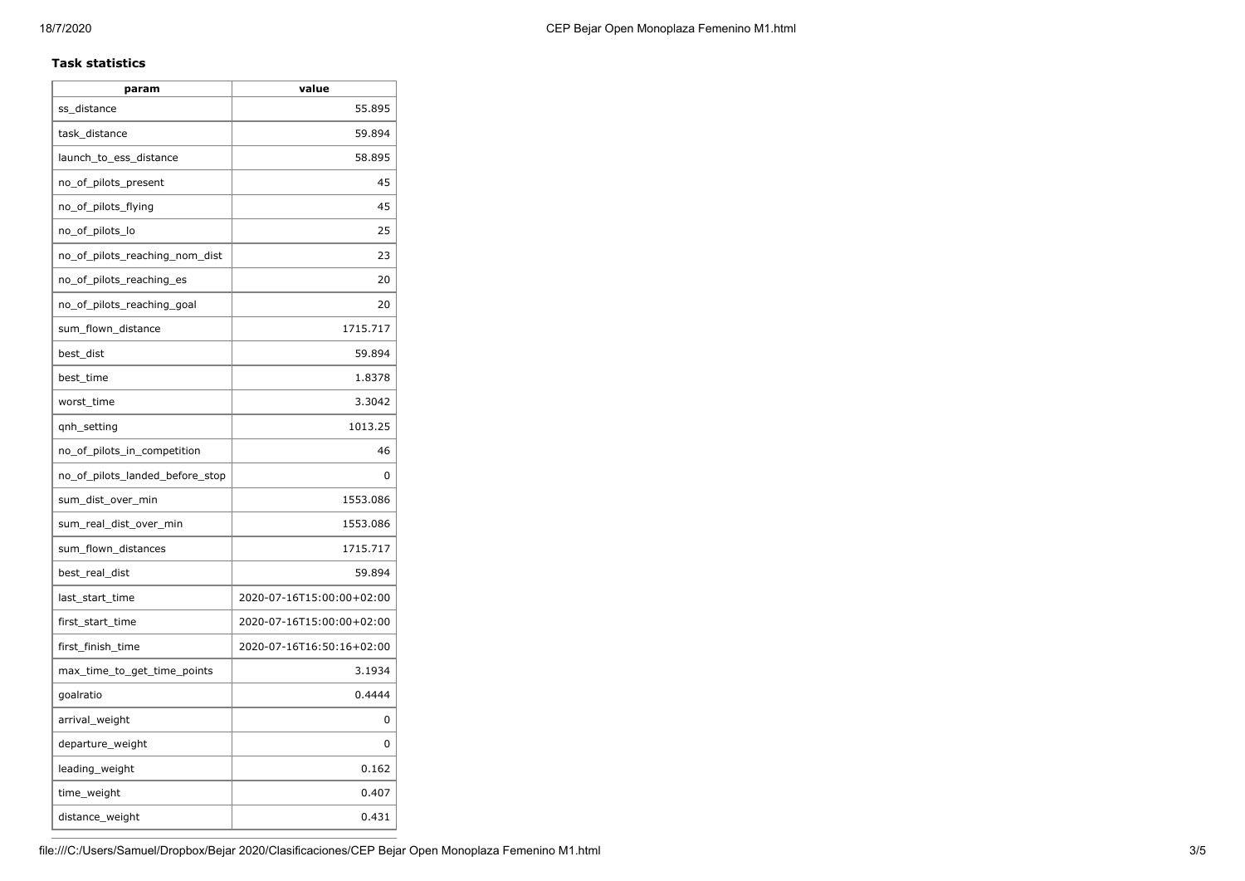### **Task statistics**

| param                           | value                     |
|---------------------------------|---------------------------|
| ss_distance                     | 55.895                    |
| task_distance                   | 59.894                    |
| launch_to_ess_distance          | 58.895                    |
| no_of_pilots_present            | 45                        |
| no_of_pilots_flying             | 45                        |
| no_of_pilots_lo                 | 25                        |
| no_of_pilots_reaching_nom_dist  | 23                        |
| no_of_pilots_reaching_es        | 20                        |
| no_of_pilots_reaching_goal      | 20                        |
| sum_flown_distance              | 1715.717                  |
| best_dist                       | 59.894                    |
| best_time                       | 1.8378                    |
| worst_time                      | 3.3042                    |
| qnh_setting                     | 1013.25                   |
| no_of_pilots_in_competition     | 46                        |
| no_of_pilots_landed_before_stop | 0                         |
| sum_dist_over_min               | 1553.086                  |
| sum real dist over min          | 1553.086                  |
| sum_flown_distances             | 1715.717                  |
| best_real_dist                  | 59.894                    |
| last_start_time                 | 2020-07-16T15:00:00+02:00 |
| first_start_time                | 2020-07-16T15:00:00+02:00 |
| first_finish_time               | 2020-07-16T16:50:16+02:00 |
| max_time_to_get_time_points     | 3.1934                    |
| goalratio                       | 0.4444                    |
| arrival_weight                  | 0                         |
| departure_weight                | 0                         |
| leading_weight                  | 0.162                     |
| time_weight                     | 0.407                     |
| distance_weight                 | 0.431                     |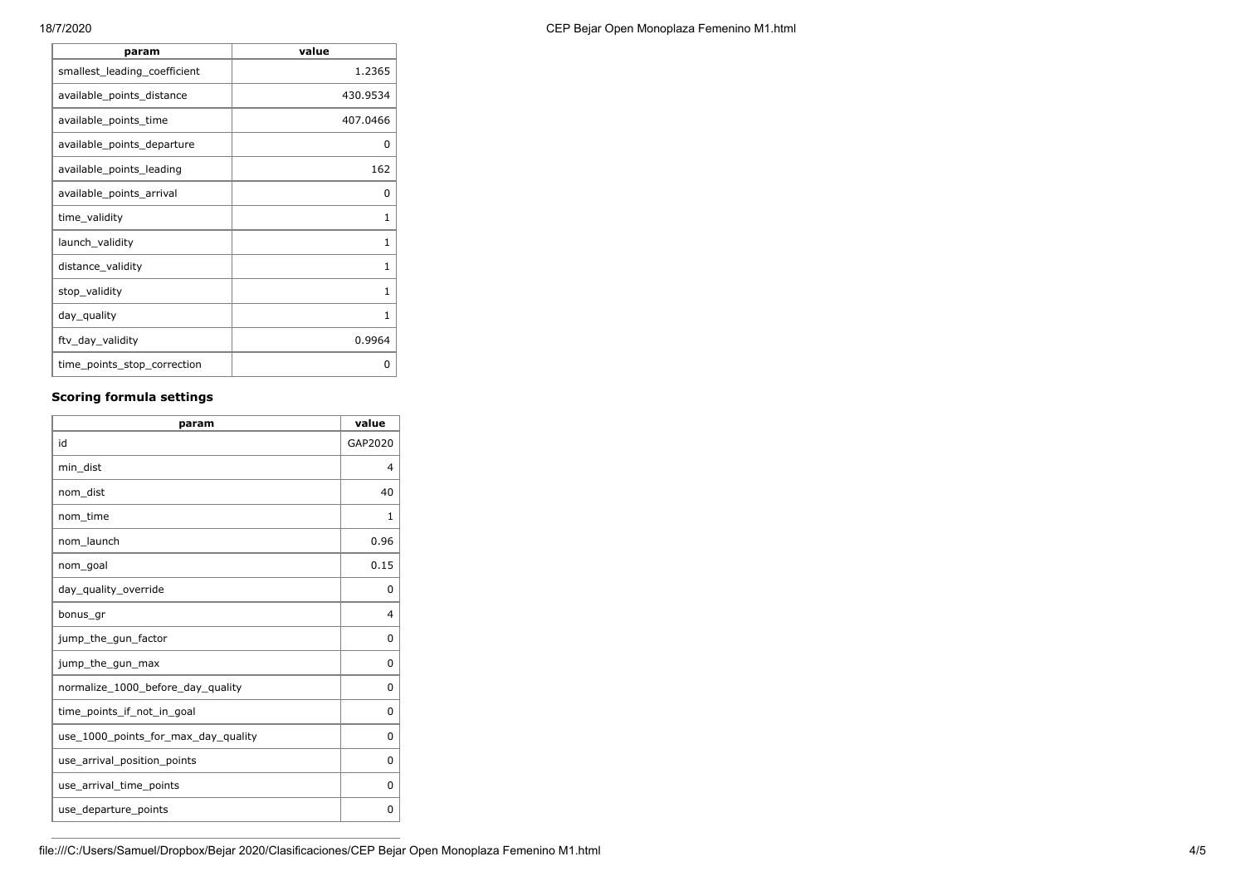| 1.2365<br>smallest_leading_coefficient<br>430.9534<br>available_points_distance<br>407.0466<br>available_points_time<br>available_points_departure<br>0<br>162<br>available_points_leading<br>available_points_arrival<br>0<br>time_validity<br>1<br>launch_validity<br>1<br>distance_validity<br>1<br>1<br>stop_validity<br>day_quality<br>1<br>ftv_day_validity<br>0.9964<br>time_points_stop_correction<br>0 | param | value |
|-----------------------------------------------------------------------------------------------------------------------------------------------------------------------------------------------------------------------------------------------------------------------------------------------------------------------------------------------------------------------------------------------------------------|-------|-------|
|                                                                                                                                                                                                                                                                                                                                                                                                                 |       |       |
|                                                                                                                                                                                                                                                                                                                                                                                                                 |       |       |
|                                                                                                                                                                                                                                                                                                                                                                                                                 |       |       |
|                                                                                                                                                                                                                                                                                                                                                                                                                 |       |       |
|                                                                                                                                                                                                                                                                                                                                                                                                                 |       |       |
|                                                                                                                                                                                                                                                                                                                                                                                                                 |       |       |
|                                                                                                                                                                                                                                                                                                                                                                                                                 |       |       |
|                                                                                                                                                                                                                                                                                                                                                                                                                 |       |       |
|                                                                                                                                                                                                                                                                                                                                                                                                                 |       |       |
|                                                                                                                                                                                                                                                                                                                                                                                                                 |       |       |
|                                                                                                                                                                                                                                                                                                                                                                                                                 |       |       |
|                                                                                                                                                                                                                                                                                                                                                                                                                 |       |       |
|                                                                                                                                                                                                                                                                                                                                                                                                                 |       |       |

## **Scoring formula settings**

| param                               | value          |
|-------------------------------------|----------------|
| id                                  | GAP2020        |
| min dist                            | 4              |
| nom_dist                            | 40             |
| nom time                            | $\mathbf{1}$   |
| nom launch                          | 0.96           |
| nom_goal                            | 0.15           |
| day_quality_override                | 0              |
| bonus_gr                            | $\overline{4}$ |
| jump_the_gun_factor                 | 0              |
| jump_the_gun_max                    | 0              |
| normalize_1000_before_day_quality   | 0              |
| time points if not in goal          | 0              |
| use_1000_points_for_max_day_quality | 0              |
| use_arrival_position_points         | 0              |
| use_arrival_time_points             | 0              |
| use_departure_points                | 0              |